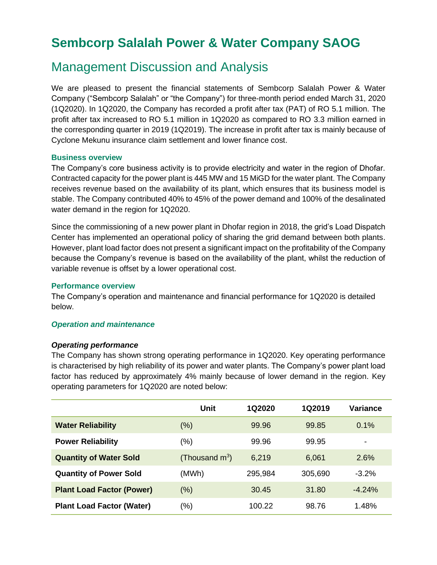# **Sembcorp Salalah Power & Water Company SAOG**

# Management Discussion and Analysis

We are pleased to present the financial statements of Sembcorp Salalah Power & Water Company ("Sembcorp Salalah" or "the Company") for three-month period ended March 31, 2020 (1Q2020). In 1Q2020, the Company has recorded a profit after tax (PAT) of RO 5.1 million. The profit after tax increased to RO 5.1 million in 1Q2020 as compared to RO 3.3 million earned in the corresponding quarter in 2019 (1Q2019). The increase in profit after tax is mainly because of Cyclone Mekunu insurance claim settlement and lower finance cost.

# **Business overview**

The Company's core business activity is to provide electricity and water in the region of Dhofar. Contracted capacity for the power plant is 445 MW and 15 MiGD for the water plant. The Company receives revenue based on the availability of its plant, which ensures that its business model is stable. The Company contributed 40% to 45% of the power demand and 100% of the desalinated water demand in the region for 1Q2020.

Since the commissioning of a new power plant in Dhofar region in 2018, the grid's Load Dispatch Center has implemented an operational policy of sharing the grid demand between both plants. However, plant load factor does not present a significant impact on the profitability of the Company because the Company's revenue is based on the availability of the plant, whilst the reduction of variable revenue is offset by a lower operational cost.

#### **Performance overview**

The Company's operation and maintenance and financial performance for 1Q2020 is detailed below.

# *Operation and maintenance*

# *Operating performance*

The Company has shown strong operating performance in 1Q2020. Key operating performance is characterised by high reliability of its power and water plants. The Company's power plant load factor has reduced by approximately 4% mainly because of lower demand in the region. Key operating parameters for 1Q2020 are noted below:

|                                  | Unit              | 1Q2020  | 1Q2019  | <b>Variance</b>          |
|----------------------------------|-------------------|---------|---------|--------------------------|
| <b>Water Reliability</b>         | (%)               | 99.96   | 99.85   | 0.1%                     |
| <b>Power Reliability</b>         | (%)               | 99.96   | 99.95   | $\overline{\phantom{0}}$ |
| <b>Quantity of Water Sold</b>    | (Thousand $m^3$ ) | 6,219   | 6,061   | 2.6%                     |
| <b>Quantity of Power Sold</b>    | (MWh)             | 295,984 | 305,690 | $-3.2%$                  |
| <b>Plant Load Factor (Power)</b> | $(\%)$            | 30.45   | 31.80   | $-4.24%$                 |
| <b>Plant Load Factor (Water)</b> | (%)               | 100.22  | 98.76   | 1.48%                    |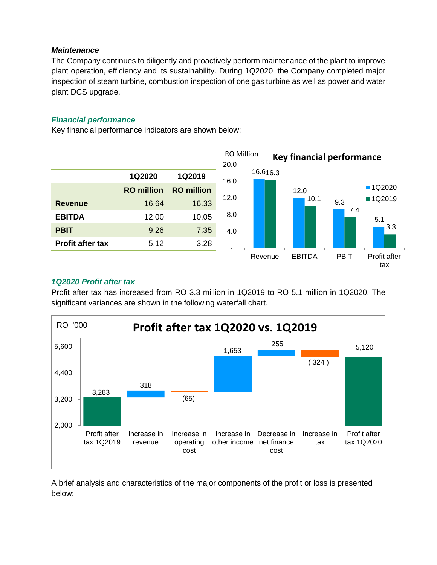# *Maintenance*

The Company continues to diligently and proactively perform maintenance of the plant to improve plant operation, efficiency and its sustainability. During 1Q2020, the Company completed major inspection of steam turbine, combustion inspection of one gas turbine as well as power and water plant DCS upgrade.

# *Financial performance*

Key financial performance indicators are shown below:



# *1Q2020 Profit after tax*

Profit after tax has increased from RO 3.3 million in 1Q2019 to RO 5.1 million in 1Q2020. The significant variances are shown in the following waterfall chart.



A brief analysis and characteristics of the major components of the profit or loss is presented below: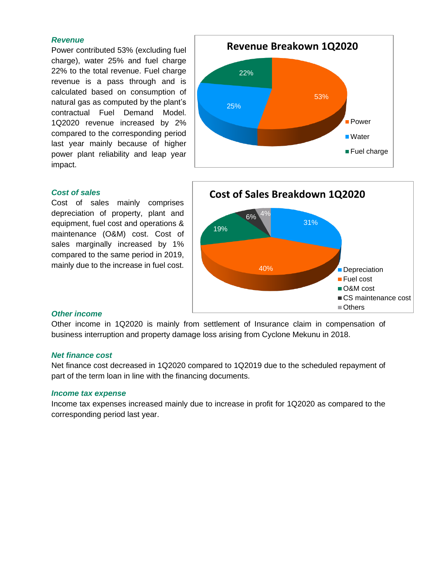#### *Revenue*

Power contributed 53% (excluding fuel charge), water 25% and fuel charge 22% to the total revenue. Fuel charge revenue is a pass through and is calculated based on consumption of natural gas as computed by the plant's contractual Fuel Demand Model. 1Q2020 revenue increased by 2% compared to the corresponding period last year mainly because of higher power plant reliability and leap year impact.

# 53% 25% 22% **Power** Water ■ Fuel charge **Revenue Breakown 1Q2020**

# *Cost of sales*

Cost of sales mainly comprises depreciation of property, plant and equipment, fuel cost and operations & maintenance (O&M) cost. Cost of sales marginally increased by 1% compared to the same period in 2019, mainly due to the increase in fuel cost.



#### *Other income*

Other income in 1Q2020 is mainly from settlement of Insurance claim in compensation of business interruption and property damage loss arising from Cyclone Mekunu in 2018.

#### *Net finance cost*

Net finance cost decreased in 1Q2020 compared to 1Q2019 due to the scheduled repayment of part of the term loan in line with the financing documents.

#### *Income tax expense*

Income tax expenses increased mainly due to increase in profit for 1Q2020 as compared to the corresponding period last year.